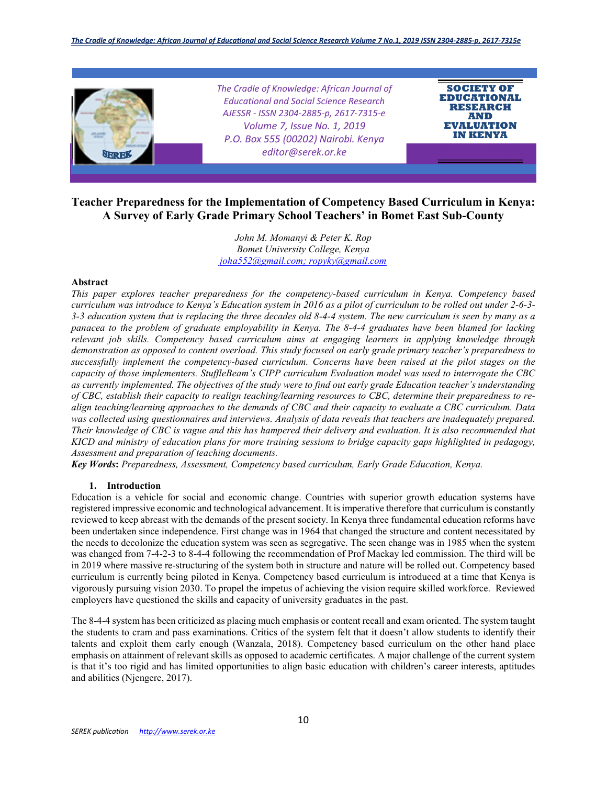

# **Teacher Preparedness for the Implementation of Competency Based Curriculum in Kenya: A Survey of Early Grade Primary School Teachers' in Bomet East Sub-County**

*John M. Momanyi & Peter K. Rop Bomet University College, Kenya joha552@gmail.com; ropyky@gmail.com*

#### **Abstract**

*This paper explores teacher preparedness for the competency-based curriculum in Kenya. Competency based curriculum was introduce to Kenya's Education system in 2016 as a pilot of curriculum to be rolled out under 2-6-3- 3-3 education system that is replacing the three decades old 8-4-4 system. The new curriculum is seen by many as a panacea to the problem of graduate employability in Kenya. The 8-4-4 graduates have been blamed for lacking relevant job skills. Competency based curriculum aims at engaging learners in applying knowledge through demonstration as opposed to content overload. This study focused on early grade primary teacher's preparedness to successfully implement the competency-based curriculum. Concerns have been raised at the pilot stages on the capacity of those implementers. StuffleBeam's CIPP curriculum Evaluation model was used to interrogate the CBC as currently implemented. The objectives of the study were to find out early grade Education teacher's understanding of CBC, establish their capacity to realign teaching/learning resources to CBC, determine their preparedness to realign teaching/learning approaches to the demands of CBC and their capacity to evaluate a CBC curriculum. Data was collected using questionnaires and interviews. Analysis of data reveals that teachers are inadequately prepared. Their knowledge of CBC is vague and this has hampered their delivery and evaluation. It is also recommended that KICD and ministry of education plans for more training sessions to bridge capacity gaps highlighted in pedagogy, Assessment and preparation of teaching documents.* 

*Key Words***:** *Preparedness, Assessment, Competency based curriculum, Early Grade Education, Kenya.*

#### **1. Introduction**

Education is a vehicle for social and economic change. Countries with superior growth education systems have registered impressive economic and technological advancement. It is imperative therefore that curriculum is constantly reviewed to keep abreast with the demands of the present society. In Kenya three fundamental education reforms have been undertaken since independence. First change was in 1964 that changed the structure and content necessitated by the needs to decolonize the education system was seen as segregative. The seen change was in 1985 when the system was changed from 7-4-2-3 to 8-4-4 following the recommendation of Prof Mackay led commission. The third will be in 2019 where massive re-structuring of the system both in structure and nature will be rolled out. Competency based curriculum is currently being piloted in Kenya. Competency based curriculum is introduced at a time that Kenya is vigorously pursuing vision 2030. To propel the impetus of achieving the vision require skilled workforce. Reviewed employers have questioned the skills and capacity of university graduates in the past.

The 8-4-4 system has been criticized as placing much emphasis or content recall and exam oriented. The system taught the students to cram and pass examinations. Critics of the system felt that it doesn't allow students to identify their talents and exploit them early enough (Wanzala, 2018). Competency based curriculum on the other hand place emphasis on attainment of relevant skills as opposed to academic certificates. A major challenge of the current system is that it's too rigid and has limited opportunities to align basic education with children's career interests, aptitudes and abilities (Njengere, 2017).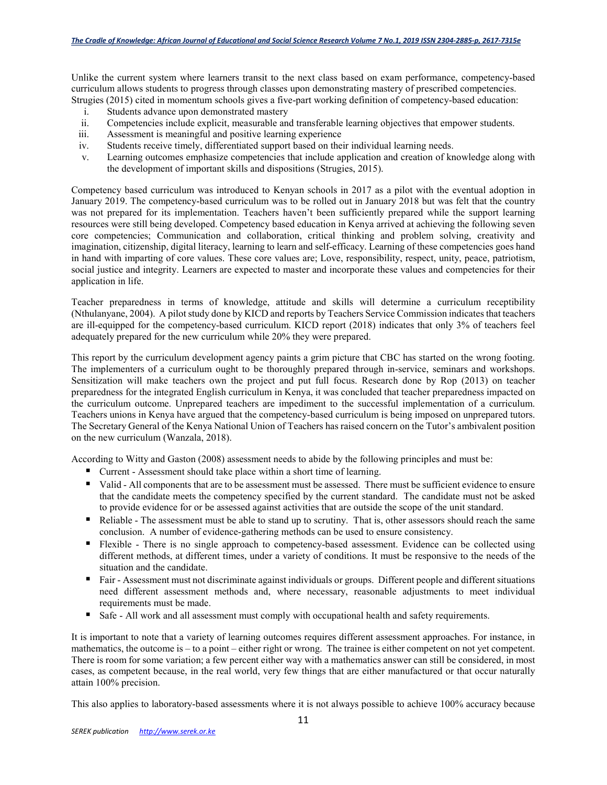Unlike the current system where learners transit to the next class based on exam performance, competency-based curriculum allows students to progress through classes upon demonstrating mastery of prescribed competencies. Strugies (2015) cited in momentum schools gives a five-part working definition of competency-based education:

- i. Students advance upon demonstrated mastery
- ii. Competencies include explicit, measurable and transferable learning objectives that empower students.
- iii. Assessment is meaningful and positive learning experience
- iv. Students receive timely, differentiated support based on their individual learning needs.
- v. Learning outcomes emphasize competencies that include application and creation of knowledge along with the development of important skills and dispositions (Strugies, 2015).

Competency based curriculum was introduced to Kenyan schools in 2017 as a pilot with the eventual adoption in January 2019. The competency-based curriculum was to be rolled out in January 2018 but was felt that the country was not prepared for its implementation. Teachers haven't been sufficiently prepared while the support learning resources were still being developed. Competency based education in Kenya arrived at achieving the following seven core competencies; Communication and collaboration, critical thinking and problem solving, creativity and imagination, citizenship, digital literacy, learning to learn and self-efficacy. Learning of these competencies goes hand in hand with imparting of core values. These core values are; Love, responsibility, respect, unity, peace, patriotism, social justice and integrity. Learners are expected to master and incorporate these values and competencies for their application in life.

Teacher preparedness in terms of knowledge, attitude and skills will determine a curriculum receptibility (Nthulanyane, 2004). A pilot study done by KICD and reports by Teachers Service Commission indicates that teachers are ill-equipped for the competency-based curriculum. KICD report (2018) indicates that only 3% of teachers feel adequately prepared for the new curriculum while 20% they were prepared.

This report by the curriculum development agency paints a grim picture that CBC has started on the wrong footing. The implementers of a curriculum ought to be thoroughly prepared through in-service, seminars and workshops. Sensitization will make teachers own the project and put full focus. Research done by Rop (2013) on teacher preparedness for the integrated English curriculum in Kenya, it was concluded that teacher preparedness impacted on the curriculum outcome. Unprepared teachers are impediment to the successful implementation of a curriculum. Teachers unions in Kenya have argued that the competency-based curriculum is being imposed on unprepared tutors. The Secretary General of the Kenya National Union of Teachers has raised concern on the Tutor's ambivalent position on the new curriculum (Wanzala, 2018).

According to Witty and Gaston (2008) assessment needs to abide by the following principles and must be:

- Current Assessment should take place within a short time of learning.
- Valid All components that are to be assessment must be assessed. There must be sufficient evidence to ensure that the candidate meets the competency specified by the current standard. The candidate must not be asked to provide evidence for or be assessed against activities that are outside the scope of the unit standard.
- Reliable The assessment must be able to stand up to scrutiny. That is, other assessors should reach the same conclusion. A number of evidence-gathering methods can be used to ensure consistency.
- Flexible There is no single approach to competency-based assessment. Evidence can be collected using different methods, at different times, under a variety of conditions. It must be responsive to the needs of the situation and the candidate.
- Fair Assessment must not discriminate against individuals or groups. Different people and different situations need different assessment methods and, where necessary, reasonable adjustments to meet individual requirements must be made.
- Safe All work and all assessment must comply with occupational health and safety requirements.

It is important to note that a variety of learning outcomes requires different assessment approaches. For instance, in mathematics, the outcome is – to a point – either right or wrong. The trainee is either competent on not yet competent. There is room for some variation; a few percent either way with a mathematics answer can still be considered, in most cases, as competent because, in the real world, very few things that are either manufactured or that occur naturally attain 100% precision.

This also applies to laboratory-based assessments where it is not always possible to achieve 100% accuracy because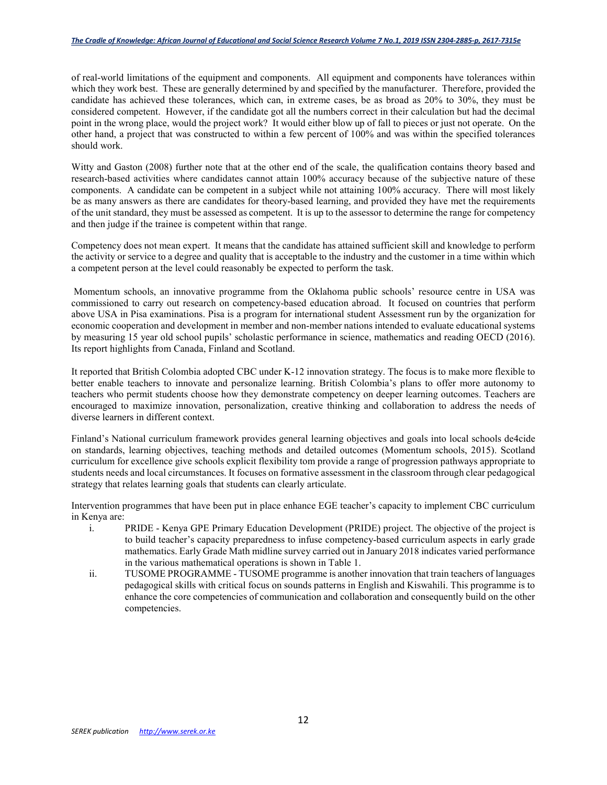of real-world limitations of the equipment and components. All equipment and components have tolerances within which they work best. These are generally determined by and specified by the manufacturer. Therefore, provided the candidate has achieved these tolerances, which can, in extreme cases, be as broad as 20% to 30%, they must be considered competent. However, if the candidate got all the numbers correct in their calculation but had the decimal point in the wrong place, would the project work? It would either blow up of fall to pieces or just not operate. On the other hand, a project that was constructed to within a few percent of 100% and was within the specified tolerances should work.

Witty and Gaston (2008) further note that at the other end of the scale, the qualification contains theory based and research-based activities where candidates cannot attain 100% accuracy because of the subjective nature of these components. A candidate can be competent in a subject while not attaining 100% accuracy. There will most likely be as many answers as there are candidates for theory-based learning, and provided they have met the requirements of the unit standard, they must be assessed as competent. It is up to the assessor to determine the range for competency and then judge if the trainee is competent within that range.

Competency does not mean expert. It means that the candidate has attained sufficient skill and knowledge to perform the activity or service to a degree and quality that is acceptable to the industry and the customer in a time within which a competent person at the level could reasonably be expected to perform the task.

 Momentum schools, an innovative programme from the Oklahoma public schools' resource centre in USA was commissioned to carry out research on competency-based education abroad. It focused on countries that perform above USA in Pisa examinations. Pisa is a program for international student Assessment run by the organization for economic cooperation and development in member and non-member nations intended to evaluate educational systems by measuring 15 year old school pupils' scholastic performance in science, mathematics and reading OECD (2016). Its report highlights from Canada, Finland and Scotland.

It reported that British Colombia adopted CBC under K-12 innovation strategy. The focus is to make more flexible to better enable teachers to innovate and personalize learning. British Colombia's plans to offer more autonomy to teachers who permit students choose how they demonstrate competency on deeper learning outcomes. Teachers are encouraged to maximize innovation, personalization, creative thinking and collaboration to address the needs of diverse learners in different context.

Finland's National curriculum framework provides general learning objectives and goals into local schools de4cide on standards, learning objectives, teaching methods and detailed outcomes (Momentum schools, 2015). Scotland curriculum for excellence give schools explicit flexibility tom provide a range of progression pathways appropriate to students needs and local circumstances. It focuses on formative assessment in the classroom through clear pedagogical strategy that relates learning goals that students can clearly articulate.

Intervention programmes that have been put in place enhance EGE teacher's capacity to implement CBC curriculum in Kenya are:

- i. PRIDE Kenya GPE Primary Education Development (PRIDE) project. The objective of the project is to build teacher's capacity preparedness to infuse competency-based curriculum aspects in early grade mathematics. Early Grade Math midline survey carried out in January 2018 indicates varied performance in the various mathematical operations is shown in Table 1.
- ii. TUSOME PROGRAMME TUSOME programme is another innovation that train teachers of languages pedagogical skills with critical focus on sounds patterns in English and Kiswahili. This programme is to enhance the core competencies of communication and collaboration and consequently build on the other competencies.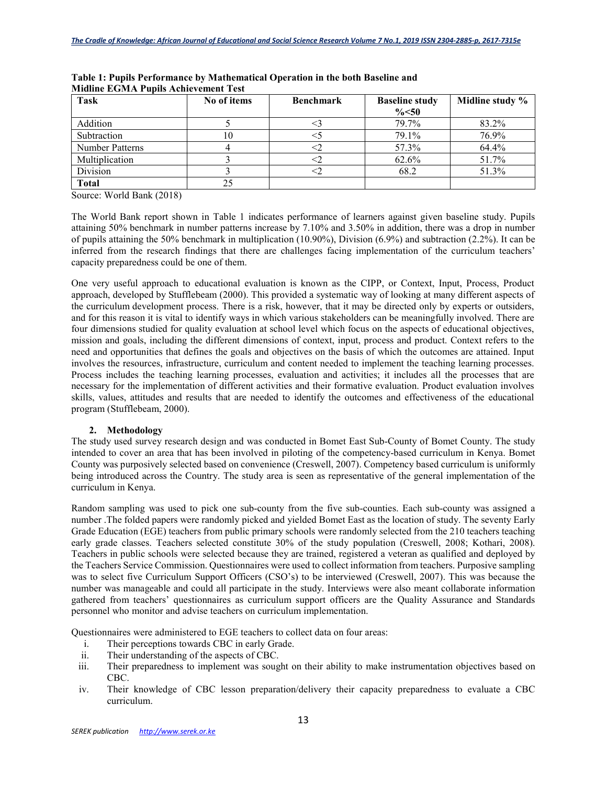| <b>Task</b>     | No of items | <b>Benchmark</b> | <b>Baseline study</b><br>$\% < 50$ | Midline study % |
|-----------------|-------------|------------------|------------------------------------|-----------------|
| Addition        |             |                  | 79.7%                              | 83.2%           |
| Subtraction     | 10          |                  | 79.1%                              | 76.9%           |
| Number Patterns |             |                  | 57.3%                              | 64.4%           |
| Multiplication  |             |                  | 62.6%                              | 51.7%           |
| Division        |             |                  | 68.2                               | 51.3%           |
| <b>Total</b>    |             |                  |                                    |                 |

**Table 1: Pupils Performance by Mathematical Operation in the both Baseline and Midline EGMA Pupils Achievement Test** 

Source: World Bank (2018)

The World Bank report shown in Table 1 indicates performance of learners against given baseline study. Pupils attaining 50% benchmark in number patterns increase by 7.10% and 3.50% in addition, there was a drop in number of pupils attaining the 50% benchmark in multiplication (10.90%), Division (6.9%) and subtraction (2.2%). It can be inferred from the research findings that there are challenges facing implementation of the curriculum teachers' capacity preparedness could be one of them.

One very useful approach to educational evaluation is known as the CIPP, or Context, Input, Process, Product approach, developed by Stufflebeam (2000). This provided a systematic way of looking at many different aspects of the curriculum development process. There is a risk, however, that it may be directed only by experts or outsiders, and for this reason it is vital to identify ways in which various stakeholders can be meaningfully involved. There are four dimensions studied for quality evaluation at school level which focus on the aspects of educational objectives, mission and goals, including the different dimensions of context, input, process and product. Context refers to the need and opportunities that defines the goals and objectives on the basis of which the outcomes are attained. Input involves the resources, infrastructure, curriculum and content needed to implement the teaching learning processes. Process includes the teaching learning processes, evaluation and activities; it includes all the processes that are necessary for the implementation of different activities and their formative evaluation. Product evaluation involves skills, values, attitudes and results that are needed to identify the outcomes and effectiveness of the educational program (Stufflebeam, 2000).

## **2. Methodology**

The study used survey research design and was conducted in Bomet East Sub-County of Bomet County. The study intended to cover an area that has been involved in piloting of the competency-based curriculum in Kenya. Bomet County was purposively selected based on convenience (Creswell, 2007). Competency based curriculum is uniformly being introduced across the Country. The study area is seen as representative of the general implementation of the curriculum in Kenya.

Random sampling was used to pick one sub-county from the five sub-counties. Each sub-county was assigned a number .The folded papers were randomly picked and yielded Bomet East as the location of study. The seventy Early Grade Education (EGE) teachers from public primary schools were randomly selected from the 210 teachers teaching early grade classes. Teachers selected constitute 30% of the study population (Creswell, 2008; Kothari, 2008). Teachers in public schools were selected because they are trained, registered a veteran as qualified and deployed by the Teachers Service Commission. Questionnaires were used to collect information from teachers. Purposive sampling was to select five Curriculum Support Officers (CSO's) to be interviewed (Creswell, 2007). This was because the number was manageable and could all participate in the study. Interviews were also meant collaborate information gathered from teachers' questionnaires as curriculum support officers are the Quality Assurance and Standards personnel who monitor and advise teachers on curriculum implementation.

Questionnaires were administered to EGE teachers to collect data on four areas:

- i. Their perceptions towards CBC in early Grade.
- ii. Their understanding of the aspects of CBC.
- iii. Their preparedness to implement was sought on their ability to make instrumentation objectives based on CBC.
- iv. Their knowledge of CBC lesson preparation/delivery their capacity preparedness to evaluate a CBC curriculum.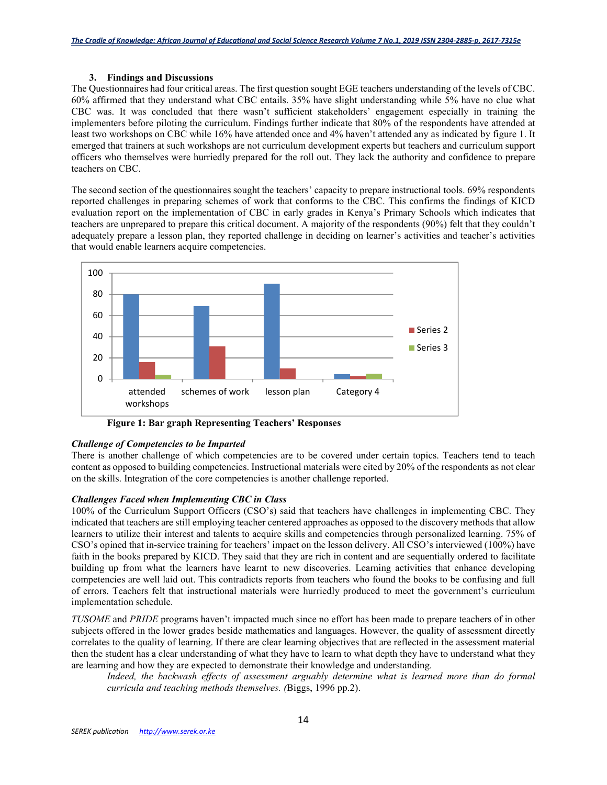## **3. Findings and Discussions**

The Questionnaires had four critical areas. The first question sought EGE teachers understanding of the levels of CBC. 60% affirmed that they understand what CBC entails. 35% have slight understanding while 5% have no clue what CBC was. It was concluded that there wasn't sufficient stakeholders' engagement especially in training the implementers before piloting the curriculum. Findings further indicate that 80% of the respondents have attended at least two workshops on CBC while 16% have attended once and 4% haven't attended any as indicated by figure 1. It emerged that trainers at such workshops are not curriculum development experts but teachers and curriculum support officers who themselves were hurriedly prepared for the roll out. They lack the authority and confidence to prepare teachers on CBC.

The second section of the questionnaires sought the teachers' capacity to prepare instructional tools. 69% respondents reported challenges in preparing schemes of work that conforms to the CBC. This confirms the findings of KICD evaluation report on the implementation of CBC in early grades in Kenya's Primary Schools which indicates that teachers are unprepared to prepare this critical document. A majority of the respondents (90%) felt that they couldn't adequately prepare a lesson plan, they reported challenge in deciding on learner's activities and teacher's activities that would enable learners acquire competencies.



 **Figure 1: Bar graph Representing Teachers' Responses** 

## *Challenge of Competencies to be Imparted*

There is another challenge of which competencies are to be covered under certain topics. Teachers tend to teach content as opposed to building competencies. Instructional materials were cited by 20% of the respondents as not clear on the skills. Integration of the core competencies is another challenge reported.

## *Challenges Faced when Implementing CBC in Class*

100% of the Curriculum Support Officers (CSO's) said that teachers have challenges in implementing CBC. They indicated that teachers are still employing teacher centered approaches as opposed to the discovery methods that allow learners to utilize their interest and talents to acquire skills and competencies through personalized learning. 75% of CSO's opined that in-service training for teachers' impact on the lesson delivery. All CSO's interviewed (100%) have faith in the books prepared by KICD. They said that they are rich in content and are sequentially ordered to facilitate building up from what the learners have learnt to new discoveries. Learning activities that enhance developing competencies are well laid out. This contradicts reports from teachers who found the books to be confusing and full of errors. Teachers felt that instructional materials were hurriedly produced to meet the government's curriculum implementation schedule.

*TUSOME* and *PRIDE* programs haven't impacted much since no effort has been made to prepare teachers of in other subjects offered in the lower grades beside mathematics and languages. However, the quality of assessment directly correlates to the quality of learning. If there are clear learning objectives that are reflected in the assessment material then the student has a clear understanding of what they have to learn to what depth they have to understand what they are learning and how they are expected to demonstrate their knowledge and understanding.

Indeed, the backwash effects of assessment arguably determine what is learned more than do formal *curricula and teaching methods themselves. (*Biggs, 1996 pp.2).